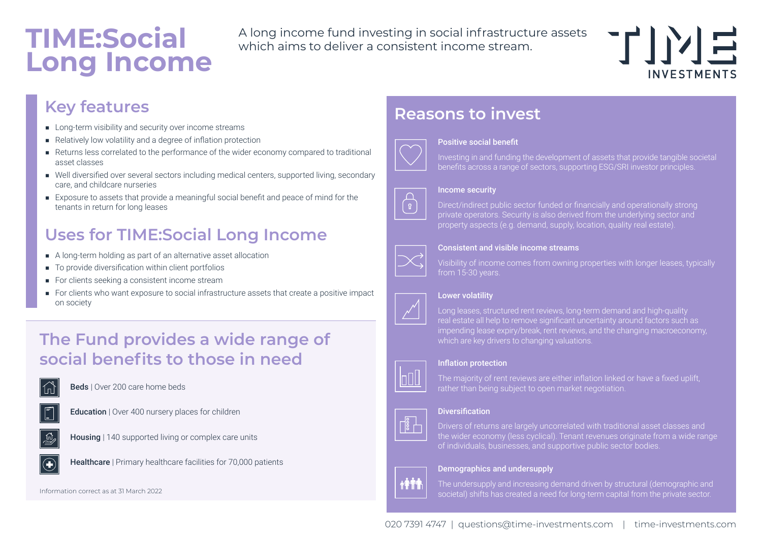# **TIME:Social Long Income**

A long income fund investing in social infrastructure assets which aims to deliver a consistent income stream.



## **Key features**

- Long-term visibility and security over income streams
- Relatively low volatility and a degree of inflation protection
- Returns less correlated to the performance of the wider economy compared to traditional asset classes
- Well diversified over several sectors including medical centers, supported living, secondary care, and childcare nurseries
- Exposure to assets that provide a meaningful social benefit and peace of mind for the tenants in return for long leases

# **Uses for TIME:Social Long Income**

- A long-term holding as part of an alternative asset allocation
- To provide diversification within client portfolios
- For clients seeking a consistent income stream
- For clients who want exposure to social infrastructure assets that create a positive impact on society

## **The Fund provides a wide range of social benefits to those in need**

Beds | Over 200 care home beds



Education | Over 400 nursery places for children



Housing | 140 supported living or complex care units



**Healthcare** | Primary healthcare facilities for 70,000 patients



## **Reasons to invest**



### Positive social benefit

Investing in and funding the development of assets that provide tangible societal benefits across a range of sectors, supporting ESG/SRI investor principles.



### Income security

Direct/indirect public sector funded or financially and operationally strong private operators. Security is also derived from the underlying sector and property aspects (e.g. demand, supply, location, quality real estate).



### Consistent and visible income streams

Visibility of income comes from owning properties with longer leases, typically



### Lower volatility

Long leases, structured rent reviews, long-term demand and high-quality real estate all help to remove significant uncertainty around factors such as impending lease expiry/break, rent reviews, and the changing macroeconomy, which are key drivers to changing valuations.

### Inflation protection



The majority of rent reviews are either inflation linked or have a fixed uplift, rather than being subject to open market negotiation.

### **Diversification**



### Demographics and undersupply



 $\sqrt{\frac{9}{8}}$ 

The undersupply and increasing demand driven by structural (demographic and societal) shifts has created a need for long-term capital from the private sector.